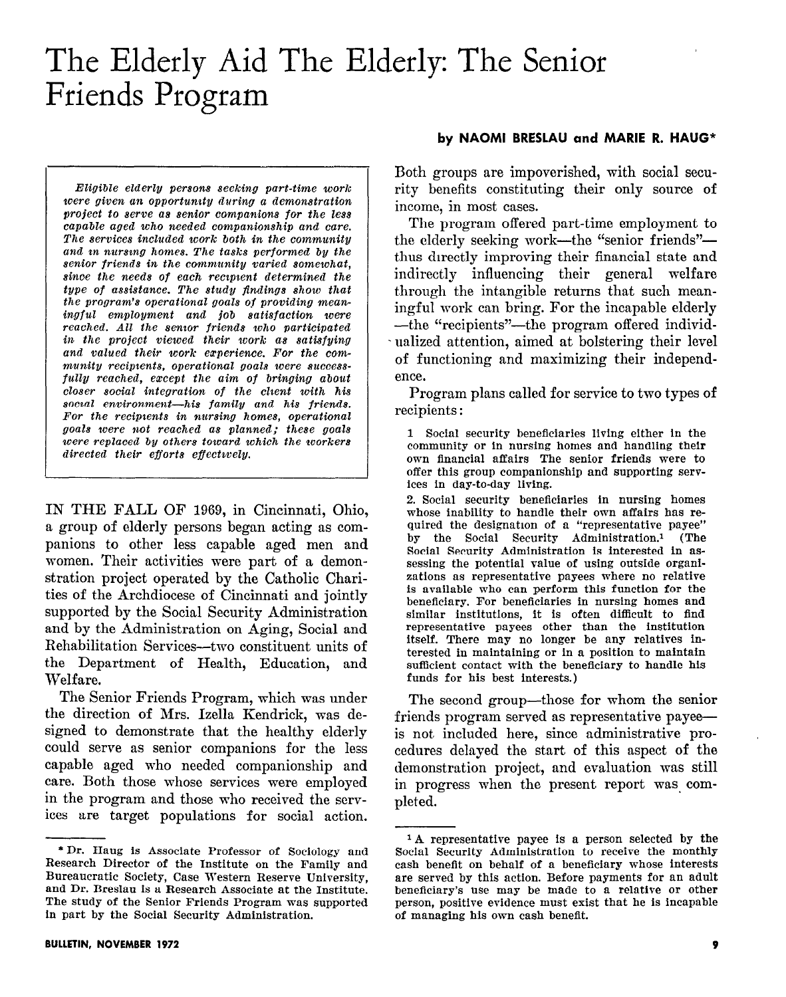# The Elderly Aid The Elderly: The Senior Friends Program

Eligible elderly persons seeking part-time work were given an opportunity during a demonstration project to serve as senior companions for the less capable aged who needed companionship and care. The services included work both in the community and in nursing homes. The tasks performed by the senior friends in the community varied somewhat, since the needs of each recipient determined the type of assistance. The study findings show that the program's operational goals of providing meaningful employment and job satisfaction were reached. All the senior friends who participated in the project viewed their work as satisfying and valued their work experience. For the community recipients, operational goals were successfully reached, except the aim of bringing about  $closer$  social integration of the client with his social environment-his family and his friends. For the recipients in nursing homes, operational goals were not reached as planned: these goals were replaced by others toward which the workers  $directed$  their efforts effectwely.

IN THE FALL OF 1969, in Cincinnati, Ohio, a group of elderly persons began acting as companions to other less capable aged men and women. Their activities were part of a demonstration project operated by the Catholic Charities of the Archdiocese of Cincinnati and jointly supported by the Social Security Administration and by the administration on Aging, Social and Rehabilitation Services-two constituent units of the Department of Health, Education, and Welfare.

The Senior Friends Program, which was under the direction of Mrs. lzella Kendrick, was designed to demonstrate that the healthy elderly could serve as senior companions for the less capable aged who needed companionship and care. Both those whose services were employed in the program and those who received the services are target populations for social action.

#### by NAOMI BRESLAU and MARIE R. HAUG\*

Both groups are impoverished, with social security benefits constituting their only source of income, in most cases.

The program offered part-time employment to the elderly seeking work—the "senior friends" thus directly improving their financial state and indirectly influencing their general welfare through the intangible returns that such meaningful work can bring. For the incapable elderly --the "recipients"--the program offered individualized attention, aimed at bolstering their level of functioning and maximizing their independence.

Program plans called for service to two types of recipients :

1 Social security beneficiaries living either in the community or in nursing homes and handling their own financial affairs The senior friends were to offer this group companionship and supporting services in day-to-day living.

2. Social security beneficiaries in nursing homes whose inability to handle their own affairs has required the designation of a "representative payee" by the Social Security Administration.1 (The Social Security Administration is interested in assessing the potential value of using outside organizations as representative payees where no relative is available who can perform this function for the beneficiary. For beneficiaries in nursing homes and similar institutions, it is often difficult to find representative payees other than the institution itself. There may no longer be any relatives interested in maintaining or in a position to maintain sufficient contact with the beneficiary to handle his funds for his best interests.)

The second group—those for whom the senior friends program served as representative payee is not included here, since administrative procedures delayed the start of this aspect of the demonstration project, and evaluation was still in progress when the present report was. completed.

<sup>\*</sup>Dr. Haug is Associate Professor of Sociology and Research Director of the Institute on the Family and Bureaucratic Society, Case Western Reserve University, and Dr. Rreslau is a Research Associate at the Institute. The study of the Senior Friends Program was supported in part by the Social Security Administration.

<sup>1</sup> A representative payee is a person selected by the Social Security Administration to receive the monthly cash benefit on behalf of a beneficiary whose interests are served by this action. Before payments for an adult beneficiary's use may be made to a relative or other person, positive evidence must exist that he is incapable of managing his own cash benedt.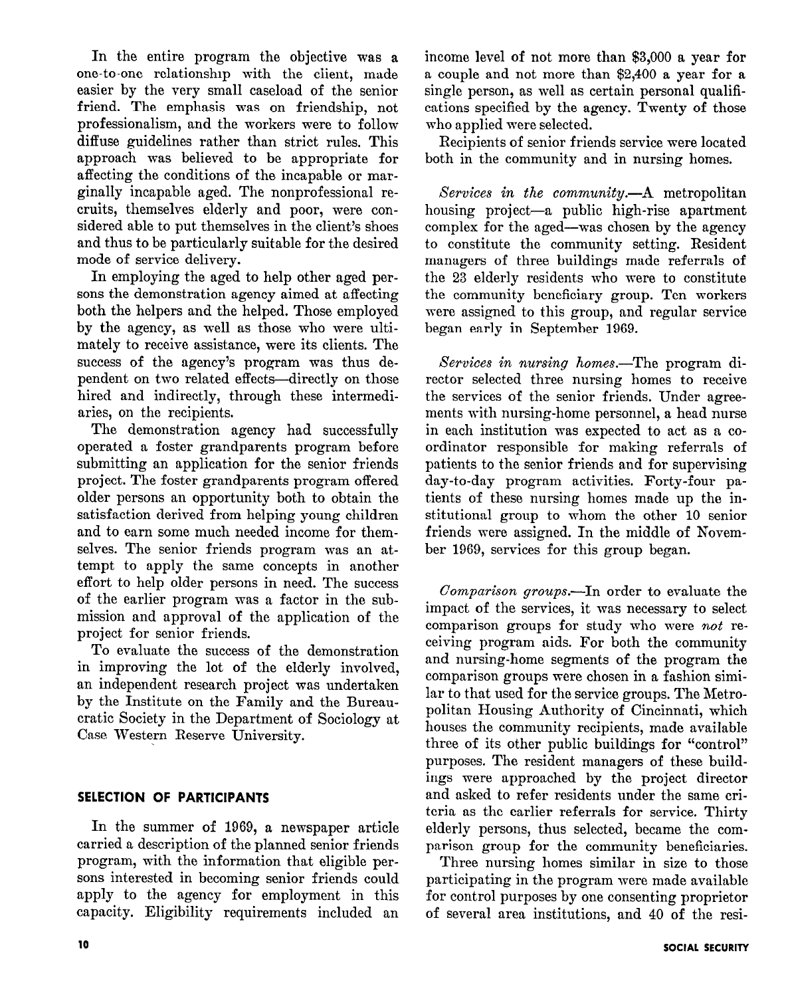In the entire program the objective was a one-to-one relationship with the client, made easier by the very small caseload of the senior friend. The emphasis was on friendship, not professionalism, and the workers were to follow diffuse guidelines rather than strict rules. This approach was believed to be appropriate for affecting the conditions of the incapable or marginally incapable aged. The nonprofessional recruits, themselves elderly and poor, were considered able to put themselves in the client's shoes and thus to be particularly suitable for the desired mode of service delivery.

In employing the aged to help other aged persons the demonstration agency aimed at affecting both the helpers and the helped. Those employed by the agency, as well as those who were ultimately to receive assistance, were its clients. The success of the agency's program was thus dependent on two related effects-directly on those hired and indirectly, through these intermediaries, on the recipients.

The demonstration agency had successfully operated a foster grandparents program before submitting an application for the senior friends project. The foster grandparents program offered older persons an opportunity both to obtain the satisfaction derived from helping young children and to earn some much needed income for themselves. The senior friends program was an attempt to apply the same concepts in another effort to help older persons in need. The success of the earlier program was a factor in the submission and approval of the application of the project for senior friends.

To evaluate the success of the demonstration in improving the lot of the elderly involved, an independent research project was undertaken by the Institute on the Family and the Bureaucratic Society in the Department of Sociology at Case Western Reserve University.

## SELECTION OF PARTICIPANTS

In the summer of 1969, a newspaper article carried a description of the planned senior friends program, with the information that eligible persons interested in becoming senior friends could apply to the agency for employment in this capacity. Eligibility requirements included an

income level of not more than \$3,000 a year for a couple and not more than \$2,400 a year for a single person, as well as certain personal qualifications specified by the agency. Twenty of those who applied were selected.

Recipients of senior friends service were located both in the community and in nursing homes.

Services in the community.-- A metropolitan housing project-a public high-rise apartment complex for the aged-was chosen by the agency to constitute the community setting. Resident managers of three buildings made referrals of the 23 elderly residents who were to constitute the community beneficiary group. Ten workers were assigned to this group, and regular service began early in September 1969.

Services in nursing homes.—The program director selected three nursing homes to receive the services of the senior friends. Under agreements with nursing-home personnel, a head nurse in each institution was expected to act as a coordinator responsible for making referrals of patients to the senior friends and for supervising day-to-day program activities. Forty-four patients of these nursing homes made up the institutional group to whom the other 10 senior friends were assigned. In the middle of November 1969, services for this group began.

Comparison groups.-In order to evaluate the impact of the services, it was necessary to select comparison groups for study who were not receiving program aids. For both the community and nursing-home segments of the program the comparison groups were chosen in a fashion similar to that used for the service groups. The Metropolitan Housing Authority of Cincinnati, which houses the community recipients, made available three of its other public buildings for "control" purposes. The resident managers of these buildings were approached by the project director and asked to refer residents under the same criteria as the earlier referrals for service. Thirty elderly persons, thus selected, became the comparison group for the community beneficiaries.

Three nursing homes similar in size to those participating in the program mere made available for control purposes by one consenting proprietor of several area institutions, and 40 of the resi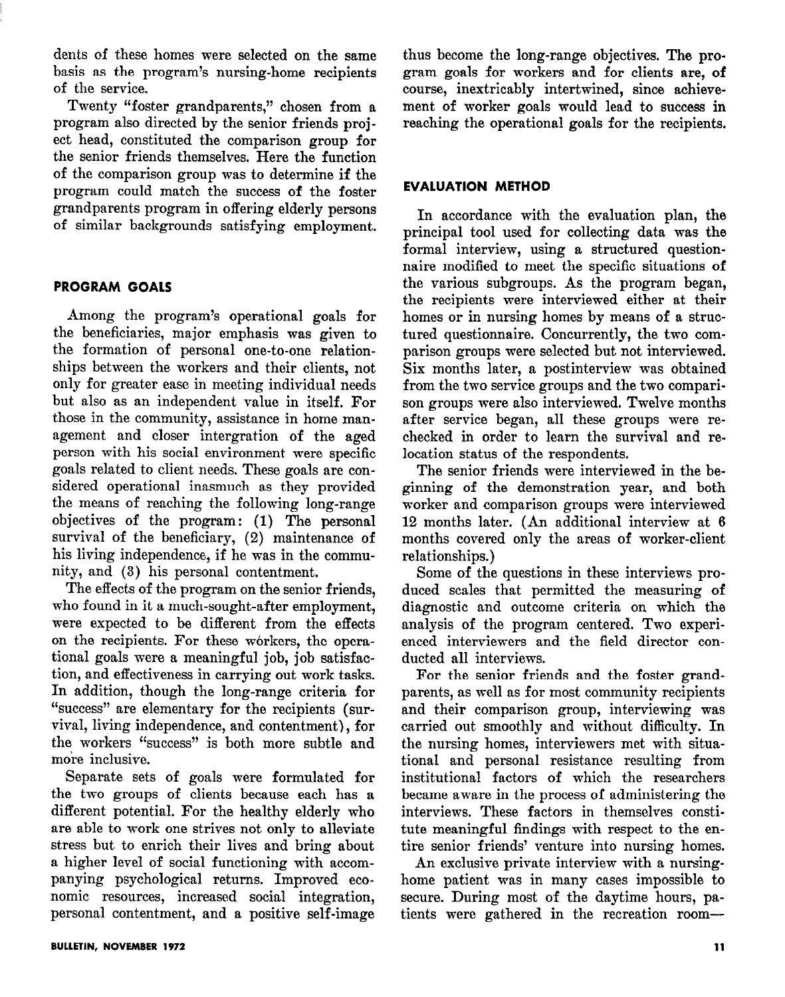dents of these homes were selected on the same basis as the program's nursing-home recipients of the service.

Twenty "foster grandparents," chosen from a program also directed by the senior friends project head, constituted the comparison group for the senior friends themselves. Here the function of the comparison group was to determine if the program could match the success of the foster grandparents program in offering elderly persons of similar backgrounds satisfying employment.

## PROGRAM GOALS

Among the program's operational goals for the beneficiaries, major emphasis was given to the formation of personal one-to-one relationships between the workers and their clients, not only for greater ease in meeting individual needs but also as an independent value in itself, For those in the community, assistance in home management and closer intergration of the aged person with his social environment were specific goals related to client needs. These goals are considered operational inasmuch as they provided the means of reaching the following long-range objectives of the program: (1) The personal survival of the beneficiary, (2) maintenance of his living independence, if he was in the community, and (3) his personal contentment.

The effects of the program on the senior friends, who found in it a much-sought-after employment, were expected to be different from the effects on the recipients. For these workers, the operational goals were a meaningful job, job satisfaction, and effectiveness in carrying out work tasks. In addition, though the long-range criteria for "success" are elementary for the recipients (survival, living independence, and contentment), for the workers "success" is both more subtle and more inclusive.

Separate sets of goals were formulated for the two groups of clients because each has a different potential. For the healthy elderly who are able to work one strives not only to alleviate stress but to enrich their lives and bring about a higher level of social functioning with accompanying psychological returns. Improved economic resources, increased social integration, personal contentment, and a positive self-image

thus become the long-range objectives. The program goals for workers and for clients are, of course, inextricably intertwined, since achievement of worker goals would lead to success in reaching the operational goals for the recipients.

## EVALUATION METHOD

In accordance with the evaluation plan, the principal tool used for collecting data was the formal interview, using a structured questionnaire modified to meet the specific situations of the various subgroups. As the program began, the recipients were interviewed either at their homes or in nursing homes by means of a structured questionnaire. Concurrently, the two comparison groups were selected but not interviewed. Six months later, a postinterview was obtained from the two service groups and the two comparison groups were also interviewed. Twelve months after service began, all these groups were rechecked in order to learn the survival and relocation status of the respondents.

The senior friends were interviewed in the beginning of the demonstration year, and both worker and comparison groups were interviewed 12 months later. (An additional interview at 6 months covered only the areas of worker-client relationships.)

Some of the questions in these interviews produced scales that permitted the measuring of diagnostic and outcome criteria on which the analysis of the program centered. Two experienced interviewers and the field director conducted all interviews.

For the senior friends and the foster grandparents, as well as for most community recipients and their comparison group, interviewing was carried out smoothly and without difficulty. In the nursing homes, interviewers met with situational and personal resistance resulting from institutional factors of which the researchers became aware in the process of administering the interviews. These factors in themselves constitute meaningful findings with respect to the entire senior friends' venture into nursing homes.

An exclusive private interview with a nursinghome patient was in many cases impossible to secure. During most of the daytime hours, patients were gathered in the recreation room-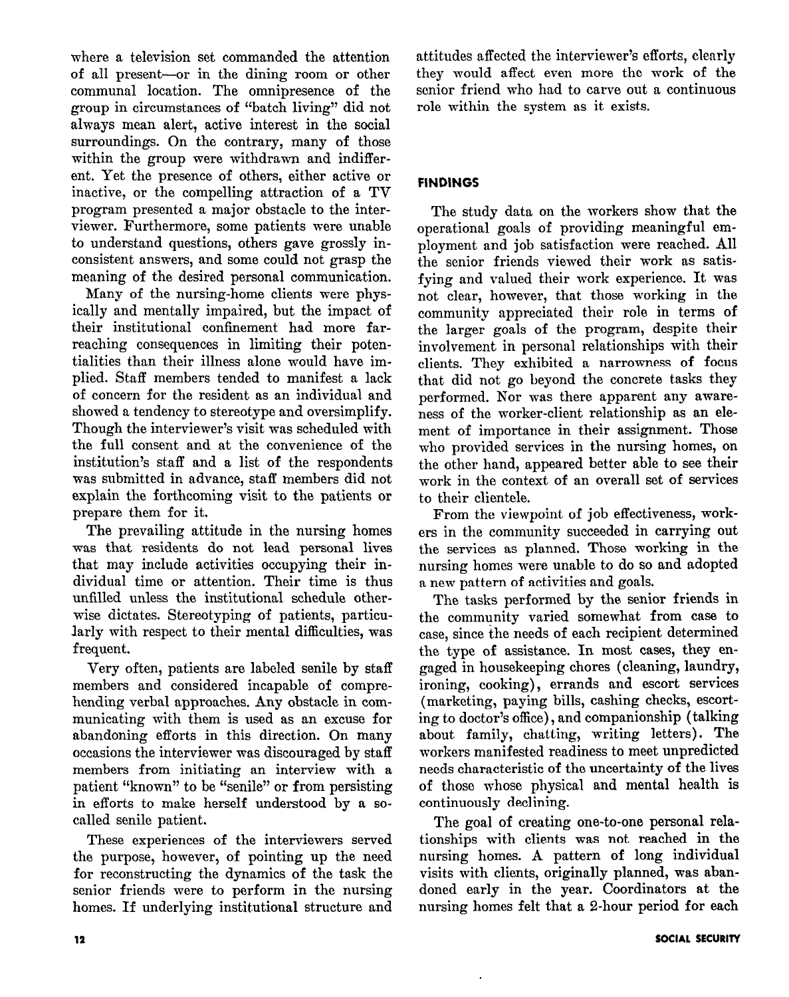where a television set commanded the attention of all present-or in the dining room or other communal location. The omnipresence of the group in circumstances of "batch living" did not always mean alert, active interest in the social surroundings. On the contrary, many of those within the group were withdrawn and indifferent. Yet the presence of others, either active or inactive, or the compelling attraction of a TV program presented a major obstacle to the interviewer. Furthermore, some patients were unable to understand questions, others gave grossly inconsistent answers, and some could not grasp the meaning of the desired personal communication.

Many of the nursing-home clients were physically and mentally impaired, but the impact of their institutional confinement had more farreaching consequences in limiting their potentialities than their illness alone would have implied. Staff members tended to manifest a lack of concern for the resident as an individual and showed a tendency to stereotype and oversimplify. Though the interviewer's visit was scheduled with the full consent and at the convenience of the institution's staff and a list of the respondents was submitted in advance, staff members did not explain the forthcoming visit to the patients or prepare them for it.

The prevailing attitude in the nursing homes was that residents do not lead personal lives that may include activities occupying their individual time or attention. Their time is thus unfilled unless the institutional schedule otherwise dictates. Stereotyping of patients, particularly with respect to their mental difficulties, was frequent.

Very often, patients are labeled senile by staff members and considered incapable of comprehending verbal approaches. Any obstacle in communicating with them is used as an excuse for abandoning efforts in this direction. On many occasions the interviewer was discouraged by staff members from initiating an interview with a patient "known" to be "senile" or from persisting in efforts to make herself understood by a socalled senile patient.

These experiences of the interviewers served the purpose, however, of pointing up the need for reconstructing the dynamics of the task the senior friends were to perform in the nursing homes. If underlying institutional structure and

attitudes affected the interviewer's efforts, clearly they would affect even more the work of the senior friend who had to carve out a continuous role within the system as it exists.

## FINDINGS

The study data on the workers show that the operational goals of providing meaningful employment and job satisfaction were reached. All the senior friends viewed their work as satisfying and valued their work experience. It was not clear, however, that those working in the community appreciated their role in terms of the larger goals of the program, despite their involvement in personal relationships with their clients. They exhibited a narrowness of focus that did not go beyond the concrete tasks they performed. Nor was there apparent any awareness of the worker-client relationship as an element of importance in their assignment. Those who provided services in the nursing homes, on the other hand, appeared better able to see their work in the context of an overall set of services to their clientele.

From the viewpoint of job effectiveness, workers in the community succeeded in carrying out the services as planned. Those working in the nursing homes were unable to do so and adopted a new pattern of activities and goals.

The tasks performed by the senior friends in the community varied somewhat from case to case, since the needs of each recipient determined the type of assistance. In most cases, they engaged in housekeeping chores (cleaning, laundry, ironing, cooking), errands and escort services (marketing, paying bills, cashing checks, escorting to doctor's office), and companionship (talking about, family, chatting, writing letters). The workers manifested readiness to meet unpredicted needs characteristic of the uncertainty of the lives of those whose physical and mental health is continuously declining.

The goal of creating one-to-one personal relationships with clients was not reached in the nursing homes. A pattern of long individual visits with clients, originally planned, was abandoned early in the year. Coordinators at the nursing homes felt that a 2-hour period for each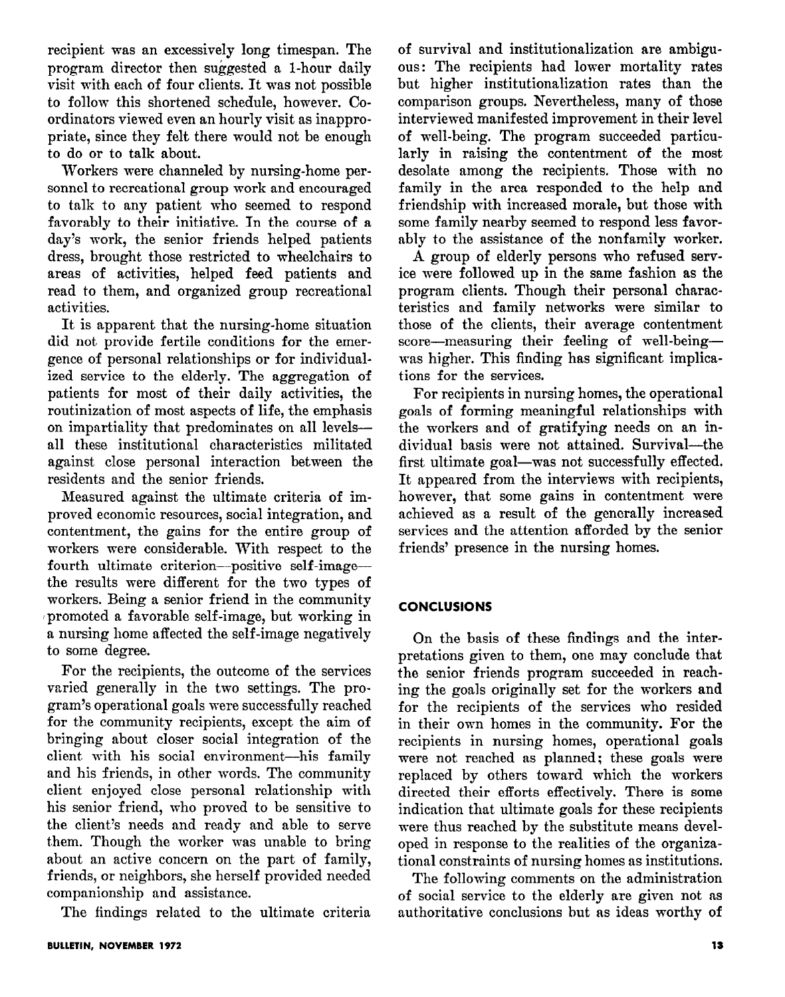recipient was an excessively long timespan. The program director then suggested a l-hour daily visit with each of four clients. It was not possible to follow this shortened schedule, however. Coordinators viewed even an hourly visit as inappropriate, since they felt there would not be enough to do or to talk about.

Workers were channeled by nursing-home personnel to recreational group work and encouraged to talk to any patient who seemed to respond favorably to their initiative. In the course of a day's work, the senior friends helped patients dress, brought those restricted to wheelchairs to areas of activities, helped feed patients and read to them, and organized group recreational activities.

It is apparent that the nursing-home situation did not provide fertile conditions for the emergence of personal relationships or for individualized service to the elderly. The aggregation of patients for most of their daily activities, the routinization of most aspects of life, the emphasis on impartiality that predominates on all levelsall these institutional characteristics militated against close personal interaction between the residents and the senior friends.

Measured against the ultimate criteria of improved economic resources, social integration, and contentment, the gains for the entire group of workers were considerable. With respect to the fourth ultimate criterion-positive self-imagethe results were different for the two types of workers. Being a senior friend in the community promoted a favorable self-image, but working in a nursing home affected the self-image negatively to some degree.

For the recipients, the outcome of the services varied generally in the two settings. The program's operational goals were successfully reached for the community recipients, except the aim of bringing about closer social integration of the client with his social environment-his family and his friends, in other words. The community client enjoyed close personal relationship with his senior friend, who proved to be sensitive to the client's needs and ready and able to serve them. Though the worker was unable to bring about an active concern on the part of family, friends, or neighbors, she herself provided needed companionship and assistance.

The findings related to the ultimate criteria

of survival and institutionalization are ambiguous: The recipients had lower mortality rates but higher institutionalization rates than the comparison groups. Nevertheless, many of those interviewed manifested improvement in their level of well-being. The program succeeded particularly in raising the contentment of the most desolate among the recipients. Those with no family in the area responded to the help and friendship with increased morale, but those with some family nearby seemed to respond less favorably to the assistance of the nonfamily worker.

A group of elderly persons who refused service were followed up in the same fashion as the program clients. Though their personal characteristics and family networks were similar to those of the clients, their average contentment score-measuring their feeling of well-beingwas higher. This finding has significant implications for the services.

For recipients in nursing homes, the operational goals of forming meaningful relationships with the workers and of gratifying needs on an individual basis were not attained. Survival-the first ultimate goal—was not successfully effected. It appeared from the interviews with recipients, however, that some gains in contentment were achieved as a result of the gencrally increased services and the attention afforded by the senior friends' presence in the nursing homes.

## CONCLUSIONS

On the basis of these findings and the interpretations given to them, one may conclude that the senior friends program succeeded in reaching the goals originally set for the workers and for the recipients of the services who resided in their own homes in the community. For the recipients in nursing homes, operational goals were not reached as planned; these goals were replaced by others toward which the workers directed their efforts effectively. There is some indication that ultimate goals for these recipients were thus reached by the substitute means developed in response to the realities of the organizational constraints of nursing homes as institutions.

The following comments on the administration of social service to the elderly are given not as authoritative conclusions but as ideas worthy of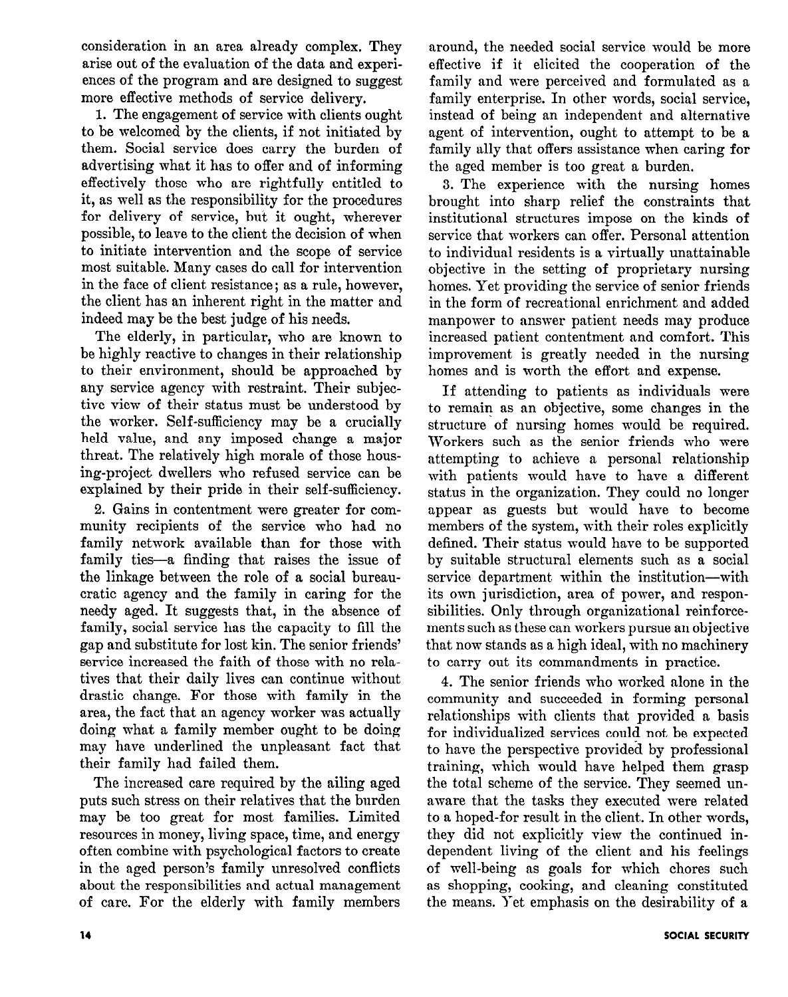consideration in an area already complex. They arise out of the evaluation of the data and experiences of the program and are designed to suggest more effective methods of service delivery.

1. The engagement of service with clients ought to be welcomed by the clients, if not initiated by them. Social service does carry the burden of advertising what it has to offer and of informing effectively those who are rightfully entitled to it, as well as the responsibility for the procedures for delivery of service, but it ought, wherever possible, to leave to the client the decision of when to initiate intervention and the scope of service most suitable. Many cases do call for intervention in the face of client resistance; as a rule, however, the client has an inherent right in the matter and indeed may be the best judge of his needs.

The elderly, in particular, who are known to be highly reactive to changes in their relationship to their environment, should be approached by any service agency with restraint. Their subjective view of their status must be understood by the worker. Self-sufficiency may be a crucially held value, and any imposed change a major threat. The relatively high morale of those housing-project dwellers who refused service can be explained by their pride in their self-sufficiency.

2. Gains in contentment were greater for community recipients of the service who had no family network available than for those with family ties-a finding that raises the issue of the linkage between the role of a social bureaucratic agency and the family in caring for the needy aged. It suggests that, in the absence of family, social service has the capacity to fill the gap and substitute for lost kin. The senior friends' service increased the faith of those with no relatives that their daily lives can continue without drastic change. For those with family in the area, the fact that an agency worker was actually doing what a family member ought to be doing may have underlined the unpleasant fact that their family had failed them.

The increased care required by the ailing aged puts such stress on their relatives that the burden may be too great for most families. Limited resources in money, living space, time, and energy often combine with psychological factors to create in the aged person's family unresolved conflicts about the responsibilities and actual management of care. For the elderly with family members around, the needed social service would be more effective if it elicited the cooperation of the family and were perceived and formulated as a family enterprise. In other words, social service, instead of being an independent and alternative agent of intervention, ought to attempt to be a family ally that offers assistance when caring for the aged member is too great a burden.

3. The experience with the nursing homes brought into sharp relief the constraints that institutional structures impose on the kinds of service that workers can offer. Personal attention to individual residents is a virtually unattainable objective in the setting of proprietary nursing homes. Yet providing the service of senior friends in the form of recreational enrichment and added manpower to answer patient needs may produce increased patient contentment and comfort. This improvement is greatly needed in the nursing homes and is worth the effort and expense.

If attending to patients as individuals were to remain as an objective, some changes in the structure of nursing homes would be required. Workers such as the senior friends who were attempting to achieve a personal relationship with patients would have to have a different status in the organization. They could no longer appear as guests but would have to become members of the system, with their roles explicitly defined. Their status would have to be supported by suitable structural elements such as a social service department within the institution-with its own jurisdiction, area of power, and responsibilities. Only through organizational reinforcements such as these can workers pursue an objective that now stands as a high ideal, with no machinery to carry out its commandments in practice.

4. The senior friends who worked alone in the community and succeeded in forming personal relationships with clients that provided a basis for individualized services could not be expected to have the perspective provided by professional training, which would have helped them grasp the total scheme of the service. They seemed unaware that the tasks they executed were related to a hoped-for result in the client. In other words, they did not explicitly view the continued independent living of the client and his feelings of well-being as goals for which chores such as shopping, cooking, and cleaning constituted the means. Yet emphasis on the desirability of a